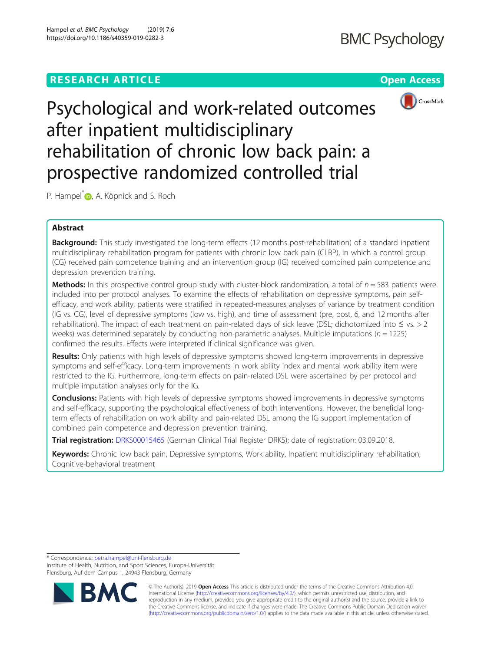

Psychological and work-related outcomes after inpatient multidisciplinary rehabilitation of chronic low back pain: a prospective randomized controlled trial

P. Hampel<sup>[\\*](http://orcid.org/0000-0002-8429-125X)</sup> **D**, A. Köpnick and S. Roch

# Abstract

Background: This study investigated the long-term effects (12 months post-rehabilitation) of a standard inpatient multidisciplinary rehabilitation program for patients with chronic low back pain (CLBP), in which a control group (CG) received pain competence training and an intervention group (IG) received combined pain competence and depression prevention training.

**Methods:** In this prospective control group study with cluster-block randomization, a total of  $n = 583$  patients were included into per protocol analyses. To examine the effects of rehabilitation on depressive symptoms, pain selfefficacy, and work ability, patients were stratified in repeated-measures analyses of variance by treatment condition (IG vs. CG), level of depressive symptoms (low vs. high), and time of assessment (pre, post, 6, and 12 months after rehabilitation). The impact of each treatment on pain-related days of sick leave (DSL; dichotomized into  $\leq v_s > 2$ weeks) was determined separately by conducting non-parametric analyses. Multiple imputations ( $n = 1225$ ) confirmed the results. Effects were interpreted if clinical significance was given.

Results: Only patients with high levels of depressive symptoms showed long-term improvements in depressive symptoms and self-efficacy. Long-term improvements in work ability index and mental work ability item were restricted to the IG. Furthermore, long-term effects on pain-related DSL were ascertained by per protocol and multiple imputation analyses only for the IG.

**Conclusions:** Patients with high levels of depressive symptoms showed improvements in depressive symptoms and self-efficacy, supporting the psychological effectiveness of both interventions. However, the beneficial longterm effects of rehabilitation on work ability and pain-related DSL among the IG support implementation of combined pain competence and depression prevention training.

Trial registration: [DRKS00015465](http://apps.who.int/trialsearch/Trial2.aspx?TrialID=DRKS00015465) (German Clinical Trial Register DRKS); date of registration: 03.09.2018.

Keywords: Chronic low back pain, Depressive symptoms, Work ability, Inpatient multidisciplinary rehabilitation, Cognitive-behavioral treatment

\* Correspondence: [petra.hampel@uni-flensburg.de](mailto:petra.hampel@uni-flensburg.de)

Institute of Health, Nutrition, and Sport Sciences, Europa-Universität Flensburg, Auf dem Campus 1, 24943 Flensburg, Germany



© The Author(s). 2019 **Open Access** This article is distributed under the terms of the Creative Commons Attribution 4.0 International License [\(http://creativecommons.org/licenses/by/4.0/](http://creativecommons.org/licenses/by/4.0/)), which permits unrestricted use, distribution, and reproduction in any medium, provided you give appropriate credit to the original author(s) and the source, provide a link to the Creative Commons license, and indicate if changes were made. The Creative Commons Public Domain Dedication waiver [\(http://creativecommons.org/publicdomain/zero/1.0/](http://creativecommons.org/publicdomain/zero/1.0/)) applies to the data made available in this article, unless otherwise stated.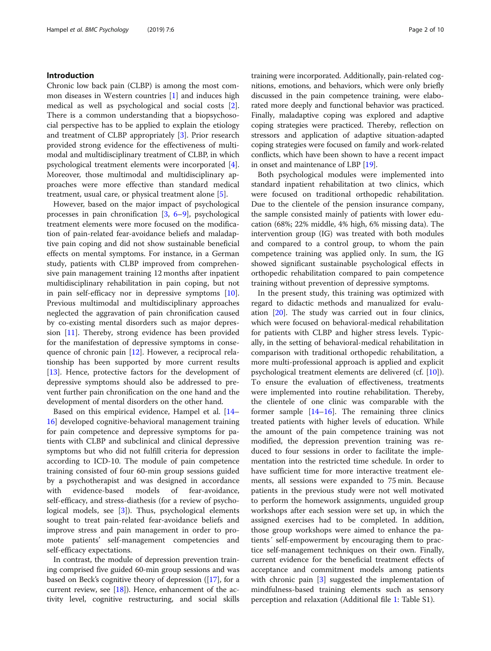# Introduction

Chronic low back pain (CLBP) is among the most common diseases in Western countries [\[1](#page-8-0)] and induces high medical as well as psychological and social costs [\[2](#page-8-0)]. There is a common understanding that a biopsychosocial perspective has to be applied to explain the etiology and treatment of CLBP appropriately [\[3](#page-8-0)]. Prior research provided strong evidence for the effectiveness of multimodal and multidisciplinary treatment of CLBP, in which psychological treatment elements were incorporated [\[4](#page-8-0)]. Moreover, those multimodal and multidisciplinary approaches were more effective than standard medical treatment, usual care, or physical treatment alone [\[5](#page-8-0)].

However, based on the major impact of psychological processes in pain chronification [[3,](#page-8-0) [6](#page-8-0)–[9](#page-8-0)], psychological treatment elements were more focused on the modification of pain-related fear-avoidance beliefs and maladaptive pain coping and did not show sustainable beneficial effects on mental symptoms. For instance, in a German study, patients with CLBP improved from comprehensive pain management training 12 months after inpatient multidisciplinary rehabilitation in pain coping, but not in pain self-efficacy nor in depressive symptoms [\[10](#page-8-0)]. Previous multimodal and multidisciplinary approaches neglected the aggravation of pain chronification caused by co-existing mental disorders such as major depression [\[11](#page-8-0)]. Thereby, strong evidence has been provided for the manifestation of depressive symptoms in consequence of chronic pain [[12](#page-8-0)]. However, a reciprocal relationship has been supported by more current results [[13\]](#page-8-0). Hence, protective factors for the development of depressive symptoms should also be addressed to prevent further pain chronification on the one hand and the development of mental disorders on the other hand.

Based on this empirical evidence, Hampel et al. [[14](#page-8-0)– [16\]](#page-8-0) developed cognitive-behavioral management training for pain competence and depressive symptoms for patients with CLBP and subclinical and clinical depressive symptoms but who did not fulfill criteria for depression according to ICD-10. The module of pain competence training consisted of four 60-min group sessions guided by a psychotherapist and was designed in accordance with evidence-based models of fear-avoidance, self-efficacy, and stress-diathesis (for a review of psychological models, see [[3\]](#page-8-0)). Thus, psychological elements sought to treat pain-related fear-avoidance beliefs and improve stress and pain management in order to promote patients' self-management competencies and self-efficacy expectations.

In contrast, the module of depression prevention training comprised five guided 60-min group sessions and was based on Beck's cognitive theory of depression ([[17](#page-8-0)], for a current review, see [\[18](#page-8-0)]). Hence, enhancement of the activity level, cognitive restructuring, and social skills training were incorporated. Additionally, pain-related cognitions, emotions, and behaviors, which were only briefly discussed in the pain competence training, were elaborated more deeply and functional behavior was practiced. Finally, maladaptive coping was explored and adaptive coping strategies were practiced. Thereby, reflection on stressors and application of adaptive situation-adapted coping strategies were focused on family and work-related conflicts, which have been shown to have a recent impact in onset and maintenance of LBP [\[19\]](#page-8-0).

Both psychological modules were implemented into standard inpatient rehabilitation at two clinics, which were focused on traditional orthopedic rehabilitation. Due to the clientele of the pension insurance company, the sample consisted mainly of patients with lower education (68%; 22% middle, 4% high, 6% missing data). The intervention group (IG) was treated with both modules and compared to a control group, to whom the pain competence training was applied only. In sum, the IG showed significant sustainable psychological effects in orthopedic rehabilitation compared to pain competence training without prevention of depressive symptoms.

In the present study, this training was optimized with regard to didactic methods and manualized for evaluation [[20\]](#page-8-0). The study was carried out in four clinics, which were focused on behavioral-medical rehabilitation for patients with CLBP and higher stress levels. Typically, in the setting of behavioral-medical rehabilitation in comparison with traditional orthopedic rehabilitation, a more multi-professional approach is applied and explicit psychological treatment elements are delivered (cf. [\[10](#page-8-0)]). To ensure the evaluation of effectiveness, treatments were implemented into routine rehabilitation. Thereby, the clientele of one clinic was comparable with the former sample  $[14–16]$  $[14–16]$  $[14–16]$ . The remaining three clinics treated patients with higher levels of education. While the amount of the pain competence training was not modified, the depression prevention training was reduced to four sessions in order to facilitate the implementation into the restricted time schedule. In order to have sufficient time for more interactive treatment elements, all sessions were expanded to 75 min. Because patients in the previous study were not well motivated to perform the homework assignments, unguided group workshops after each session were set up, in which the assigned exercises had to be completed. In addition, those group workshops were aimed to enhance the patients´ self-empowerment by encouraging them to practice self-management techniques on their own. Finally, current evidence for the beneficial treatment effects of acceptance and commitment models among patients with chronic pain [[3\]](#page-8-0) suggested the implementation of mindfulness-based training elements such as sensory perception and relaxation (Additional file [1](#page-7-0): Table S1).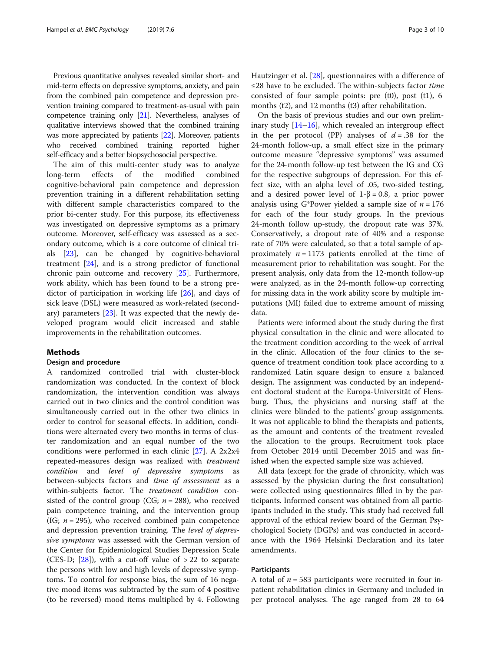Previous quantitative analyses revealed similar short- and mid-term effects on depressive symptoms, anxiety, and pain from the combined pain competence and depression prevention training compared to treatment-as-usual with pain competence training only [\[21\]](#page-8-0). Nevertheless, analyses of qualitative interviews showed that the combined training was more appreciated by patients [\[22\]](#page-9-0). Moreover, patients who received combined training reported higher self-efficacy and a better biopsychosocial perspective.

The aim of this multi-center study was to analyze long-term effects of the modified combined cognitive-behavioral pain competence and depression prevention training in a different rehabilitation setting with different sample characteristics compared to the prior bi-center study. For this purpose, its effectiveness was investigated on depressive symptoms as a primary outcome. Moreover, self-efficacy was assessed as a secondary outcome, which is a core outcome of clinical trials [[23\]](#page-9-0), can be changed by cognitive-behavioral treatment [\[24](#page-9-0)], and is a strong predictor of functional chronic pain outcome and recovery [[25](#page-9-0)]. Furthermore, work ability, which has been found to be a strong predictor of participation in working life [\[26](#page-9-0)], and days of sick leave (DSL) were measured as work-related (secondary) parameters [[23\]](#page-9-0). It was expected that the newly developed program would elicit increased and stable improvements in the rehabilitation outcomes.

## **Methods**

## Design and procedure

A randomized controlled trial with cluster-block randomization was conducted. In the context of block randomization, the intervention condition was always carried out in two clinics and the control condition was simultaneously carried out in the other two clinics in order to control for seasonal effects. In addition, conditions were alternated every two months in terms of cluster randomization and an equal number of the two conditions were performed in each clinic [\[27](#page-9-0)]. A 2x2x4 repeated-measures design was realized with treatment condition and level of depressive symptoms as between-subjects factors and time of assessment as a within-subjects factor. The treatment condition consisted of the control group (CG;  $n = 288$ ), who received pain competence training, and the intervention group (IG;  $n = 295$ ), who received combined pain competence and depression prevention training. The level of depressive symptoms was assessed with the German version of the Center for Epidemiological Studies Depression Scale (CES-D;  $[28]$ ), with a cut-off value of  $>22$  to separate the persons with low and high levels of depressive symptoms. To control for response bias, the sum of 16 negative mood items was subtracted by the sum of 4 positive (to be reversed) mood items multiplied by 4. Following Hautzinger et al. [[28\]](#page-9-0), questionnaires with a difference of ≤28 have to be excluded. The within-subjects factor time consisted of four sample points: pre (t0), post (t1), 6 months (t2), and 12 months (t3) after rehabilitation.

On the basis of previous studies and our own preliminary study [\[14](#page-8-0)–[16\]](#page-8-0), which revealed an intergroup effect in the per protocol (PP) analyses of  $d = .38$  for the 24-month follow-up, a small effect size in the primary outcome measure "depressive symptoms" was assumed for the 24-month follow-up test between the IG and CG for the respective subgroups of depression. For this effect size, with an alpha level of .05, two-sided testing, and a desired power level of  $1-\beta = 0.8$ , a prior power analysis using G\*Power yielded a sample size of  $n = 176$ for each of the four study groups. In the previous 24-month follow up-study, the dropout rate was 37%. Conservatively, a dropout rate of 40% and a response rate of 70% were calculated, so that a total sample of approximately  $n = 1173$  patients enrolled at the time of measurement prior to rehabilitation was sought. For the present analysis, only data from the 12-month follow-up were analyzed, as in the 24-month follow-up correcting for missing data in the work ability score by multiple imputations (MI) failed due to extreme amount of missing data.

Patients were informed about the study during the first physical consultation in the clinic and were allocated to the treatment condition according to the week of arrival in the clinic. Allocation of the four clinics to the sequence of treatment condition took place according to a randomized Latin square design to ensure a balanced design. The assignment was conducted by an independent doctoral student at the Europa-Universität of Flensburg. Thus, the physicians and nursing staff at the clinics were blinded to the patients' group assignments. It was not applicable to blind the therapists and patients, as the amount and contents of the treatment revealed the allocation to the groups. Recruitment took place from October 2014 until December 2015 and was finished when the expected sample size was achieved.

All data (except for the grade of chronicity, which was assessed by the physician during the first consultation) were collected using questionnaires filled in by the participants. Informed consent was obtained from all participants included in the study. This study had received full approval of the ethical review board of the German Psychological Society (DGPs) and was conducted in accordance with the 1964 Helsinki Declaration and its later amendments.

# Participants

A total of  $n = 583$  participants were recruited in four inpatient rehabilitation clinics in Germany and included in per protocol analyses. The age ranged from 28 to 64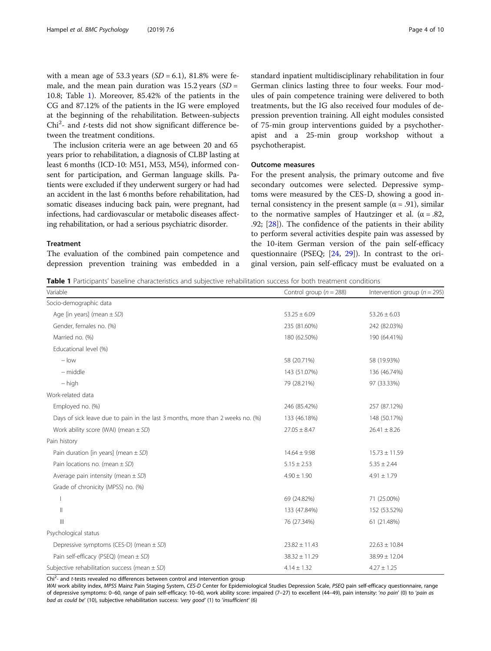<span id="page-3-0"></span>with a mean age of 53.3 years  $(SD = 6.1)$ , 81.8% were female, and the mean pain duration was  $15.2$  years (SD = 10.8; Table 1). Moreover, 85.42% of the patients in the CG and 87.12% of the patients in the IG were employed at the beginning of the rehabilitation. Between-subjects Chi<sup>2</sup>- and t-tests did not show significant difference between the treatment conditions.

The inclusion criteria were an age between 20 and 65 years prior to rehabilitation, a diagnosis of CLBP lasting at least 6 months (ICD-10: M51, M53, M54), informed consent for participation, and German language skills. Patients were excluded if they underwent surgery or had had an accident in the last 6 months before rehabilitation, had somatic diseases inducing back pain, were pregnant, had infections, had cardiovascular or metabolic diseases affecting rehabilitation, or had a serious psychiatric disorder.

# Treatment

The evaluation of the combined pain competence and depression prevention training was embedded in a standard inpatient multidisciplinary rehabilitation in four German clinics lasting three to four weeks. Four modules of pain competence training were delivered to both treatments, but the IG also received four modules of depression prevention training. All eight modules consisted of 75-min group interventions guided by a psychotherapist and a 25-min group workshop without a psychotherapist.

# Outcome measures

For the present analysis, the primary outcome and five secondary outcomes were selected. Depressive symptoms were measured by the CES-D, showing a good internal consistency in the present sample ( $α = .91$ ), similar to the normative samples of Hautzinger et al. ( $\alpha = .82$ , .92; [[28](#page-9-0)]). The confidence of the patients in their ability to perform several activities despite pain was assessed by the 10-item German version of the pain self-efficacy questionnaire (PSEQ; [[24,](#page-9-0) [29](#page-9-0)]). In contrast to the original version, pain self-efficacy must be evaluated on a

Table 1 Participants' baseline characteristics and subjective rehabilitation success for both treatment conditions

| Variable                                                                       | Control group ( $n = 288$ ) | Intervention group ( $n = 295$ ) |
|--------------------------------------------------------------------------------|-----------------------------|----------------------------------|
| Socio-demographic data                                                         |                             |                                  |
| Age [in years] (mean $\pm$ SD)                                                 | $53.25 \pm 6.09$            | $53.26 \pm 6.03$                 |
| Gender, females no. (%)                                                        | 235 (81.60%)                | 242 (82.03%)                     |
| Married no. (%)                                                                | 180 (62.50%)                | 190 (64.41%)                     |
| Educational level (%)                                                          |                             |                                  |
| $-$ low                                                                        | 58 (20.71%)                 | 58 (19.93%)                      |
| – middle                                                                       | 143 (51.07%)                | 136 (46.74%)                     |
| $-$ high                                                                       | 79 (28.21%)                 | 97 (33.33%)                      |
| Work-related data                                                              |                             |                                  |
| Employed no. (%)                                                               | 246 (85.42%)                | 257 (87.12%)                     |
| Days of sick leave due to pain in the last 3 months, more than 2 weeks no. (%) | 133 (46.18%)                | 148 (50.17%)                     |
| Work ability score (WAI) (mean $\pm$ SD)                                       | $27.05 \pm 8.47$            | $26.41 \pm 8.26$                 |
| Pain history                                                                   |                             |                                  |
| Pain duration [in years] (mean $\pm$ SD)                                       | $14.64 \pm 9.98$            | $15.73 \pm 11.59$                |
| Pain locations no. (mean $\pm$ SD)                                             | $5.15 \pm 2.53$             | $5.35 \pm 2.44$                  |
| Average pain intensity (mean $\pm$ SD)                                         | $4.90 \pm 1.90$             | $4.91 \pm 1.79$                  |
| Grade of chronicity (MPSS) no. (%)                                             |                             |                                  |
|                                                                                | 69 (24.82%)                 | 71 (25.00%)                      |
| Ш                                                                              | 133 (47.84%)                | 152 (53.52%)                     |
| $\parallel$                                                                    | 76 (27.34%)                 | 61 (21.48%)                      |
| Psychological status                                                           |                             |                                  |
| Depressive symptoms (CES-D) (mean $\pm$ SD)                                    | $23.82 \pm 11.43$           | $22.63 \pm 10.84$                |
| Pain self-efficacy (PSEQ) (mean $\pm$ SD)                                      | $38.32 \pm 11.29$           | 38.99 ± 12.04                    |
| Subjective rehabilitation success (mean $\pm$ SD)                              | $4.14 \pm 1.32$             | $4.27 \pm 1.25$                  |

Chi<sup>2</sup>- and t-tests revealed no differences between control and intervention group

WAI work ability index, MPSS Mainz Pain Staging System, CES-D Center for Epidemiological Studies Depression Scale, PSEQ pain self-efficacy questionnaire, range of depressive symptoms: 0-60, range of pain self-efficacy: 10-60, work ability score: impaired (7-27) to excellent (44-49), pain intensity: 'no pain' (0) to 'pain as bad as could be' (10), subjective rehabilitation success: 'very good' (1) to 'insufficient' (6)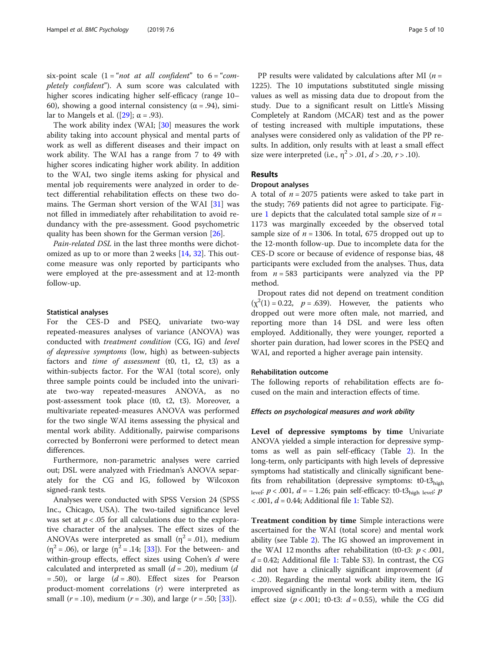six-point scale  $(1 = "not at all confident" to 6 = "com$ pletely confident"). A sum score was calculated with higher scores indicating higher self-efficacy (range 10– 60), showing a good internal consistency ( $\alpha$  = .94), similar to Mangels et al. ( $[29]$  $[29]$  $[29]$ ;  $\alpha = .93$ ).

The work ability index (WAI; [\[30](#page-9-0)] measures the work ability taking into account physical and mental parts of work as well as different diseases and their impact on work ability. The WAI has a range from 7 to 49 with higher scores indicating higher work ability. In addition to the WAI, two single items asking for physical and mental job requirements were analyzed in order to detect differential rehabilitation effects on these two domains. The German short version of the WAI [[31](#page-9-0)] was not filled in immediately after rehabilitation to avoid redundancy with the pre-assessment. Good psychometric quality has been shown for the German version [[26\]](#page-9-0).

Pain-related DSL in the last three months were dichotomized as up to or more than 2 weeks [[14](#page-8-0), [32](#page-9-0)]. This outcome measure was only reported by participants who were employed at the pre-assessment and at 12-month follow-up.

## Statistical analyses

For the CES-D and PSEQ, univariate two-way repeated-measures analyses of variance (ANOVA) was conducted with treatment condition (CG, IG) and level of depressive symptoms (low, high) as between-subjects factors and *time of assessment* (t0, t1, t2, t3) as a within-subjects factor. For the WAI (total score), only three sample points could be included into the univariate two-way repeated-measures ANOVA, as no post-assessment took place (t0, t2, t3). Moreover, a multivariate repeated-measures ANOVA was performed for the two single WAI items assessing the physical and mental work ability. Additionally, pairwise comparisons corrected by Bonferroni were performed to detect mean differences.

Furthermore, non-parametric analyses were carried out; DSL were analyzed with Friedman's ANOVA separately for the CG and IG, followed by Wilcoxon signed-rank tests.

Analyses were conducted with SPSS Version 24 (SPSS Inc., Chicago, USA). The two-tailed significance level was set at  $p < .05$  for all calculations due to the explorative character of the analyses. The effect sizes of the ANOVAs were interpreted as small  $(\eta^2 = .01)$ , medium  $(\eta^2 = .06)$ , or large  $(\eta^2 = .14; [33])$  $(\eta^2 = .14; [33])$  $(\eta^2 = .14; [33])$ . For the between- and within-group effects, effect sizes using Cohen's d were calculated and interpreted as small  $(d = .20)$ , medium  $(d)$  $= .50$ , or large  $(d = .80)$ . Effect sizes for Pearson product-moment correlations (r) were interpreted as small  $(r = .10)$ , medium  $(r = .30)$ , and large  $(r = .50; [33])$  $(r = .50; [33])$  $(r = .50; [33])$ .

PP results were validated by calculations after MI ( $n =$ 1225). The 10 imputations substituted single missing values as well as missing data due to dropout from the study. Due to a significant result on Little's Missing Completely at Random (MCAR) test and as the power of testing increased with multiple imputations, these analyses were considered only as validation of the PP results. In addition, only results with at least a small effect size were interpreted (i.e.,  $\eta^2$  > .01,  $d$  > .20,  $r$  > .10).

# Results

## Dropout analyses

A total of  $n = 2075$  patients were asked to take part in the study; 769 patients did not agree to participate. Fig-ure [1](#page-5-0) depicts that the calculated total sample size of  $n =$ 1173 was marginally exceeded by the observed total sample size of  $n = 1306$ . In total, 675 dropped out up to the 12-month follow-up. Due to incomplete data for the CES-D score or because of evidence of response bias, 48 participants were excluded from the analyses. Thus, data from  $n = 583$  participants were analyzed via the PP method.

Dropout rates did not depend on treatment condition  $(\chi^2(1) = 0.22, p = .639)$ . However, the patients who dropped out were more often male, not married, and reporting more than 14 DSL and were less often employed. Additionally, they were younger, reported a shorter pain duration, had lower scores in the PSEQ and WAI, and reported a higher average pain intensity.

# Rehabilitation outcome

The following reports of rehabilitation effects are focused on the main and interaction effects of time.

## Effects on psychological measures and work ability

Level of depressive symptoms by time Univariate ANOVA yielded a simple interaction for depressive symptoms as well as pain self-efficacy (Table [2](#page-6-0)). In the long-term, only participants with high levels of depressive symptoms had statistically and clinically significant benefits from rehabilitation (depressive symptoms:  $t0-t3_{\text{high}}$ ) level: *p* < .001, *d* = −1.26; pain self-efficacy: t0-t3<sub>high level</sub>: *p*  $<$  0.0[1](#page-7-0),  $d$  = 0.44; Additional file 1: Table S2).

Treatment condition by time Simple interactions were ascertained for the WAI (total score) and mental work ability (see Table [2](#page-6-0)). The IG showed an improvement in the WAI 12 months after rehabilitation (t0-t3:  $p < .001$ ,  $d = 0.42$ ; Additional file [1:](#page-7-0) Table S3). In contrast, the CG did not have a clinically significant improvement (d < .20). Regarding the mental work ability item, the IG improved significantly in the long-term with a medium effect size  $(p < .001;$  t0-t3:  $d = 0.55$ ), while the CG did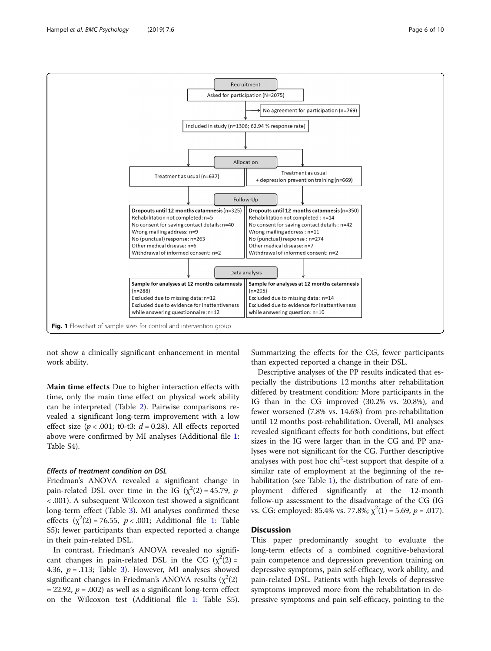<span id="page-5-0"></span>

not show a clinically significant enhancement in mental work ability.

Main time effects Due to higher interaction effects with time, only the main time effect on physical work ability can be interpreted (Table [2](#page-6-0)). Pairwise comparisons revealed a significant long-term improvement with a low effect size ( $p < .001$ ; t0-t3:  $d = 0.28$ ). All effects reported above were confirmed by MI analyses (Additional file [1](#page-7-0): Table S4).

# Effects of treatment condition on DSL

Friedman's ANOVA revealed a significant change in pain-related DSL over time in the IG  $(\chi^2(2) = 45.79, p)$ < .001). A subsequent Wilcoxon test showed a significant long-term effect (Table [3](#page-7-0)). MI analyses confirmed these effects  $(\chi^2(2) = 76.55, p < .001;$  Additional file [1:](#page-7-0) Table S5); fewer participants than expected reported a change in their pain-related DSL.

In contrast, Friedman's ANOVA revealed no significant changes in pain-related DSL in the CG  $(\chi^2(2) =$ 4.[3](#page-7-0)6,  $p = .113$ ; Table 3). However, MI analyses showed significant changes in Friedman's ANOVA results  $(\chi^2(2))$  $= 22.92$ ,  $p = .002$ ) as well as a significant long-term effect on the Wilcoxon test (Additional file [1:](#page-7-0) Table S5). Summarizing the effects for the CG, fewer participants than expected reported a change in their DSL.

Descriptive analyses of the PP results indicated that especially the distributions 12 months after rehabilitation differed by treatment condition: More participants in the IG than in the CG improved (30.2% vs. 20.8%), and fewer worsened (7.8% vs. 14.6%) from pre-rehabilitation until 12 months post-rehabilitation. Overall, MI analyses revealed significant effects for both conditions, but effect sizes in the IG were larger than in the CG and PP analyses were not significant for the CG. Further descriptive analyses with post hoc chi<sup>2</sup>-test support that despite of a similar rate of employment at the beginning of the re-habilitation (see Table [1\)](#page-3-0), the distribution of rate of employment differed significantly at the 12-month follow-up assessment to the disadvantage of the CG (IG vs. CG: employed: 85.4% vs. 77.8%;  $\chi^2(1) = 5.69$ ,  $p = .017$ ).

# **Discussion**

This paper predominantly sought to evaluate the long-term effects of a combined cognitive-behavioral pain competence and depression prevention training on depressive symptoms, pain self-efficacy, work ability, and pain-related DSL. Patients with high levels of depressive symptoms improved more from the rehabilitation in depressive symptoms and pain self-efficacy, pointing to the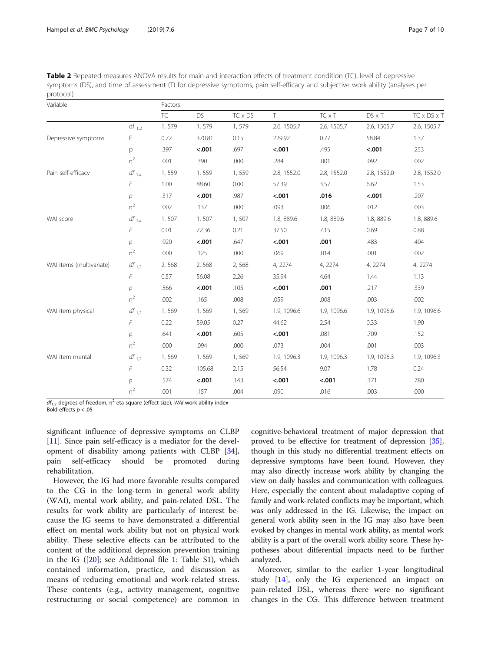<span id="page-6-0"></span>

| Table 2 Repeated-measures ANOVA results for main and interaction effects of treatment condition (TC), level of depressive       |
|---------------------------------------------------------------------------------------------------------------------------------|
| symptoms (DS), and time of assessment (T) for depressive symptoms, pain self-efficacy and subjective work ability (analyses per |
| protocol)                                                                                                                       |

| Variable                 |                   | Factors   |           |         |             |             |               |             |
|--------------------------|-------------------|-----------|-----------|---------|-------------|-------------|---------------|-------------|
|                          |                   | <b>TC</b> | <b>DS</b> | TC x DS | $\top$      | TC x T      | $DS \times T$ | TC x DS x T |
|                          | $df_{1,2}$        | 1,579     | 1,579     | 1,579   | 2.6, 1505.7 | 2.6, 1505.7 | 2.6, 1505.7   | 2.6, 1505.7 |
| Depressive symptoms      | F                 | 0.72      | 370.81    | 0.15    | 229.92      | 0.77        | 58.84         | 1.37        |
|                          | p                 | .397      | < .001    | .697    | < .001      | .495        | < .001        | .253        |
|                          | $\eta^2$          | .001      | .390      | .000    | .284        | .001        | .092          | .002        |
| Pain self-efficacy       | $df_{1,2}$        | 1,559     | 1,559     | 1,559   | 2.8, 1552.0 | 2.8, 1552.0 | 2.8, 1552.0   | 2.8, 1552.0 |
|                          | F                 | 1.00      | 88.60     | 0.00    | 57.39       | 3.57        | 6.62          | 1.53        |
|                          | р                 | .317      | < .001    | .987    | < .001      | .016        | < .001        | .207        |
|                          | $\eta^2$          | .002      | .137      | .000    | .093        | .006        | .012          | .003        |
| WAI score                | $df_{1,2}$        | 1,507     | 1,507     | 1,507   | 1.8, 889.6  | 1.8, 889.6  | 1.8, 889.6    | 1.8, 889.6  |
|                          | F                 | 0.01      | 72.36     | 0.21    | 37.50       | 7.15        | 0.69          | 0.88        |
|                          | р                 | .920      | < .001    | .647    | < .001      | .001        | .483          | .404        |
|                          | $\eta^2$          | .000      | .125      | .000    | .069        | .014        | .001          | .002        |
| WAI items (multivariate) | $df$ $_{\rm 1,2}$ | 2,568     | 2,568     | 2,568   | 4, 2274     | 4, 2274     | 4, 2274       | 4, 2274     |
|                          | F                 | 0.57      | 56.08     | 2.26    | 35.94       | 4.64        | 1.44          | 1.13        |
|                          | $\overline{p}$    | .566      | < .001    | .105    | < .001      | .001        | .217          | .339        |
|                          | $\eta^2$          | .002      | .165      | .008    | .059        | .008        | .003          | .002        |
| WAI item physical        | $df_{1,2}$        | 1,569     | 1,569     | 1,569   | 1.9, 1096.6 | 1.9, 1096.6 | 1.9, 1096.6   | 1.9, 1096.6 |
|                          | F                 | 0.22      | 59.05     | 0.27    | 44.62       | 2.54        | 0.33          | 1.90        |
|                          | р                 | .641      | < .001    | .605    | < .001      | .081        | .709          | .152        |
|                          | $\eta^2$          | .000      | .094      | .000    | .073        | .004        | .001          | .003        |
| WAI item mental          | $df_{1,2}$        | 1,569     | 1,569     | 1,569   | 1.9, 1096.3 | 1.9, 1096.3 | 1.9, 1096.3   | 1.9, 1096.3 |
|                          | F                 | 0.32      | 105.68    | 2.15    | 56.54       | 9.07        | 1.78          | 0.24        |
|                          | р                 | .574      | < .001    | .143    | < .001      | < .001      | .171          | .780        |
|                          | $\eta^2$          | .001      | .157      | .004    | .090        | .016        | .003          | .000        |

 $df_{1,2}$  degrees of freedom,  $\eta^2$  eta-square (effect size), WAI work ability index Bold effects  $p < .05$ 

significant influence of depressive symptoms on CLBP [[11\]](#page-8-0). Since pain self-efficacy is a mediator for the development of disability among patients with CLBP [\[34](#page-9-0)], pain self-efficacy should be promoted during rehabilitation.

However, the IG had more favorable results compared to the CG in the long-term in general work ability (WAI), mental work ability, and pain-related DSL. The results for work ability are particularly of interest because the IG seems to have demonstrated a differential effect on mental work ability but not on physical work ability. These selective effects can be attributed to the content of the additional depression prevention training in the IG  $([20]$  $([20]$  $([20]$ ; see Additional file [1](#page-7-0): Table S1), which contained information, practice, and discussion as means of reducing emotional and work-related stress. These contents (e.g., activity management, cognitive restructuring or social competence) are common in

cognitive-behavioral treatment of major depression that proved to be effective for treatment of depression [[35](#page-9-0)], though in this study no differential treatment effects on depressive symptoms have been found. However, they may also directly increase work ability by changing the view on daily hassles and communication with colleagues. Here, especially the content about maladaptive coping of family and work-related conflicts may be important, which was only addressed in the IG. Likewise, the impact on general work ability seen in the IG may also have been evoked by changes in mental work ability, as mental work ability is a part of the overall work ability score. These hypotheses about differential impacts need to be further analyzed.

Moreover, similar to the earlier 1-year longitudinal study [[14\]](#page-8-0), only the IG experienced an impact on pain-related DSL, whereas there were no significant changes in the CG. This difference between treatment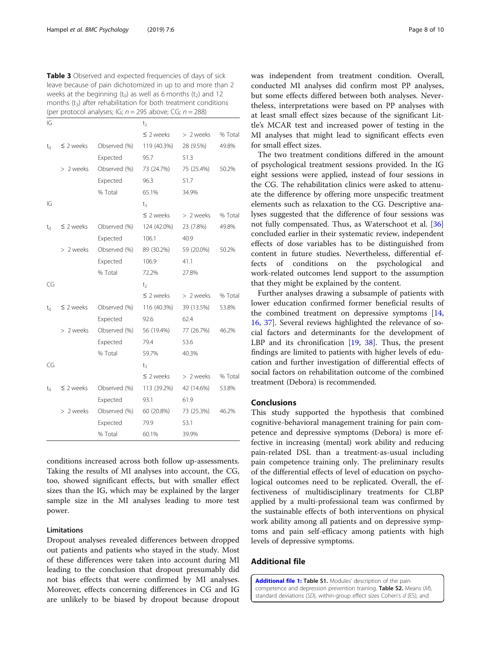<span id="page-7-0"></span>Table 3 Observed and expected frequencies of days of sick leave because of pain dichotomized in up to and more than 2 weeks at the beginning  $(t_0)$  as well as 6 months  $(t_2)$  and 12 months  $(t_3)$  after rehabilitation for both treatment conditions (per protocol analyses; IG;  $n = 295$  above; CG;  $n = 288$ )

| IG    |                |              | t <sub>2</sub> |            |         |
|-------|----------------|--------------|----------------|------------|---------|
|       |                |              | $\leq$ 2 weeks | > 2 weeks  | % Total |
| $t_0$ | $\leq$ 2 weeks | Observed (%) | 119 (40.3%)    | 28 (9.5%)  | 49.8%   |
|       |                | Expected     | 95.7           | 51.3       |         |
|       | > 2 weeks      | Observed (%) | 73 (24.7%)     | 75 (25.4%) | 50.2%   |
|       |                | Expected     | 96.3           | 51.7       |         |
|       |                | % Total      | 65.1%          | 34.9%      |         |
| IG    |                |              | tэ             |            |         |
|       |                |              | $\leq$ 2 weeks | > 2 weeks  | % Total |
| to    | $\leq$ 2 weeks | Observed (%) | 124 (42.0%)    | 23 (7.8%)  | 49.8%   |
|       |                | Expected     | 106.1          | 40.9       |         |
|       | > 2 weeks      | Observed (%) | 89 (30.2%)     | 59 (20.0%) | 50.2%   |
|       |                | Expected     | 106.9          | 41.1       |         |
|       |                | % Total      | 72.2%          | 27.8%      |         |
|       |                |              |                |            |         |
| CG    |                |              | t              |            |         |
|       |                |              | $\leq$ 2 weeks | > 2 weeks  | % Total |
| $t_0$ | $\leq$ 2 weeks | Observed (%) | 116 (40.3%)    | 39 (13.5%) | 53.8%   |
|       |                | Expected     | 92.6           | 62.4       |         |
|       | > 2 weeks      | Observed (%) | 56 (19.4%)     | 77 (26.7%) | 46.2%   |
|       |                | Expected     | 79.4           | 53.6       |         |
|       |                | % Total      | 59.7%          | 40.3%      |         |
| CG    |                |              | tэ             |            |         |
|       |                |              | $\leq$ 2 weeks | > 2 weeks  | % Total |
| tο    | $\leq$ 2 weeks | Observed (%) | 113 (39.2%)    | 42 (14.6%) | 53.8%   |
|       |                | Expected     | 93.1           | 61.9       |         |
|       | > 2 weeks      | Observed (%) | 60 (20.8%)     | 73 (25.3%) | 46.2%   |
|       |                | Expected     | 79.9           | 53.1       |         |

conditions increased across both follow up-assessments. Taking the results of MI analyses into account, the CG, too, showed significant effects, but with smaller effect sizes than the IG, which may be explained by the larger sample size in the MI analyses leading to more test power.

# Limitations

Dropout analyses revealed differences between dropped out patients and patients who stayed in the study. Most of these differences were taken into account during MI leading to the conclusion that dropout presumably did not bias effects that were confirmed by MI analyses. Moreover, effects concerning differences in CG and IG are unlikely to be biased by dropout because dropout was independent from treatment condition. Overall, conducted MI analyses did confirm most PP analyses, but some effects differed between both analyses. Nevertheless, interpretations were based on PP analyses with at least small effect sizes because of the significant Little's MCAR test and increased power of testing in the MI analyses that might lead to significant effects even for small effect sizes.

The two treatment conditions differed in the amount of psychological treatment sessions provided. In the IG eight sessions were applied, instead of four sessions in the CG. The rehabilitation clinics were asked to attenuate the difference by offering more unspecific treatment elements such as relaxation to the CG. Descriptive analyses suggested that the difference of four sessions was not fully compensated. Thus, as Waterschoot et al. [[36](#page-9-0)] concluded earlier in their systematic review, independent effects of dose variables has to be distinguished from content in future studies. Nevertheless, differential effects of conditions on the psychological and work-related outcomes lend support to the assumption that they might be explained by the content.

Further analyses drawing a subsample of patients with lower education confirmed former beneficial results of the combined treatment on depressive symptoms [[14](#page-8-0), [16,](#page-8-0) [37](#page-9-0)]. Several reviews highlighted the relevance of social factors and determinants for the development of LBP and its chronification [[19,](#page-8-0) [38](#page-9-0)]. Thus, the present findings are limited to patients with higher levels of education and further investigation of differential effects of social factors on rehabilitation outcome of the combined treatment (Debora) is recommended.

# Conclusions

This study supported the hypothesis that combined cognitive-behavioral management training for pain competence and depressive symptoms (Debora) is more effective in increasing (mental) work ability and reducing pain-related DSL than a treatment-as-usual including pain competence training only. The preliminary results of the differential effects of level of education on psychological outcomes need to be replicated. Overall, the effectiveness of multidisciplinary treatments for CLBP applied by a multi-professional team was confirmed by the sustainable effects of both interventions on physical work ability among all patients and on depressive symptoms and pain self-efficacy among patients with high levels of depressive symptoms.

# Additional file

[Additional file 1:](https://doi.org/10.1186/s40359-019-0282-3) Table S1. Modules' description of the pain competence and depression prevention training. Table S2. Means (M), standard deviations (SD), within-group effect sizes Cohen's d (ES), and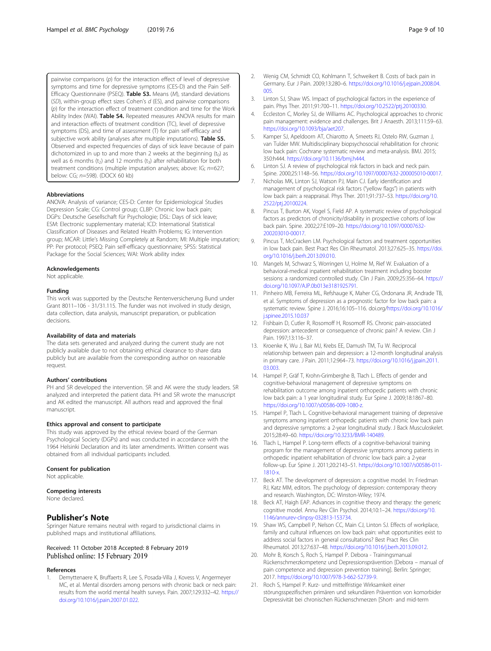<span id="page-8-0"></span>pairwise comparisons  $(p)$  for the interaction effect of level of depressive symptoms and time for depressive symptoms (CES-D) and the Pain Self-Efficacy Questionnaire (PSEQ). Table S3. Means (M), standard deviations (SD), within-group effect sizes Cohen's d (ES), and pairwise comparisons (p) for the interaction effect of treatment condition and time for the Work Ability Index (WAI). Table S4. Repeated measures ANOVA results for main and interaction effects of treatment condition (TC), level of depressive symptoms (DS), and time of assessment (T) for pain self-efficacy and subjective work ability (analyses after multiple imputations). Table S5. Observed and expected frequencies of days of sick leave because of pain dichotomized in up to and more than 2 weeks at the beginning  $(t_0)$  as well as 6 months (t<sub>2</sub>) and 12 months (t<sub>3</sub>) after rehabilitation for both treatment conditions (multiple imputation analyses; above: IG; n=627; below: CG; n=598). (DOCX 60 kb)

#### Abbreviations

ANOVA: Analysis of variance; CES-D: Center for Epidemiological Studies Depression Scale; CG: Control group; CLBP: Chronic low back pain; DGPs: Deutsche Gesellschaft für Psychologie; DSL: Days of sick leave; ESM: Electronic supplementary material; ICD: International Statistical Classification of Diseases and Related Health Problems; IG: Intervention group; MCAR: Little's Missing Completely at Random; MI: Multiple imputation; PP: Per protocol; PSEQ: Pain self-efficacy questionnaire; SPSS: Statistical Package for the Social Sciences; WAI: Work ability index

## Acknowledgements

Not applicable.

## Funding

This work was supported by the Deutsche Rentenversicherung Bund under Grant 8011–106 - 31/31.115. The funder was not involved in study design, data collection, data analysis, manuscript preparation, or publication decisions.

#### Availability of data and materials

The data sets generated and analyzed during the current study are not publicly available due to not obtaining ethical clearance to share data publicly but are available from the corresponding author on reasonable request.

#### Authors' contributions

PH and SR developed the intervention. SR and AK were the study leaders. SR analyzed and interpreted the patient data. PH and SR wrote the manuscript and AK edited the manuscript. All authors read and approved the final manuscript.

#### Ethics approval and consent to participate

This study was approved by the ethical review board of the German Psychological Society (DGPs) and was conducted in accordance with the 1964 Helsinki Declaration and its later amendments. Written consent was obtained from all individual participants included.

### Consent for publication

Not applicable.

#### Competing interests

None declared.

# Publisher's Note

Springer Nature remains neutral with regard to jurisdictional claims in published maps and institutional affiliations.

## Received: 11 October 2018 Accepted: 8 February 2019 Published online: 15 February 2019

## References

1. Demyttenaere K, Bruffaerts R, Lee S, Posada-Villa J, Kovess V, Angermeyer MC, et al. Mental disorders among persons with chronic back or neck pain: results from the world mental health surveys. Pain. 2007;129:332–42. [https://](https://doi.org/10.1016/j.pain.2007.01.022) [doi.org/10.1016/j.pain.2007.01.022.](https://doi.org/10.1016/j.pain.2007.01.022)

- 2. Wenig CM, Schmidt CO, Kohlmann T, Schweikert B. Costs of back pain in Germany. Eur J Pain. 2009;13:280–6. [https://doi.org/10.1016/j.ejpain.2008.04.](https://doi.org/10.1016/j.ejpain.2008.04.005) [005.](https://doi.org/10.1016/j.ejpain.2008.04.005)
- 3. Linton SJ, Shaw WS. Impact of psychological factors in the experience of pain. Phys Ther. 2011;91:700–11. <https://doi.org/10.2522/ptj.20100330>.
- 4. Eccleston C, Morley SJ, de Williams AC. Psychological approaches to chronic pain management: evidence and challenges. Brit J Anaesth. 2013;111:59–63. [https://doi.org/10.1093/bja/aet207.](https://doi.org/10.1093/bja/aet207)
- 5. Kamper SJ, Apeldoorn AT, Chiarotto A, Smeets RJ, Ostelo RW, Guzman J, van Tulder MW. Multidisciplinary biopsychosocial rehabilitation for chronic low back pain: Cochrane systematic review and meta-analysis. BMJ. 2015; 350:h444. <https://doi.org/10.1136/bmj.h444>.
- 6. Linton SJ. A review of psychological risk factors in back and neck pain. Spine. 2000;25:1148–56. [https://doi.org/10.1097/00007632-200005010-00017.](https://doi.org/10.1097/00007632-200005010-00017)
- 7. Nicholas MK, Linton SJ, Watson PJ, Main CJ. Early identification and management of psychological risk factors ("yellow flags") in patients with low back pain: a reappraisal. Phys Ther. 2011;91:737–53. [https://doi.org/10.](https://doi.org/10.2522/ptj.20100224) [2522/ptj.20100224.](https://doi.org/10.2522/ptj.20100224)
- 8. Pincus T, Burton AK, Vogel S, Field AP. A systematic review of psychological factors as predictors of chronicity/disability in prospective cohorts of low back pain. Spine. 2002;27:E109–20. [https://doi.org/10.1097/00007632-](https://doi.org/10.1097/00007632-200203010-00017) [200203010-00017.](https://doi.org/10.1097/00007632-200203010-00017)
- 9. Pincus T, McCracken LM. Psychological factors and treatment opportunities in low back pain. Best Pract Res Clin Rheumatol. 2013;27:625–35. [https://doi.](https://doi.org/10.1016/j.berh.2013.09.010) [org/10.1016/j.berh.2013.09.010](https://doi.org/10.1016/j.berh.2013.09.010).
- 10. Mangels M, Schwarz S, Worringen U, Holme M, Rief W. Evaluation of a behavioral-medical inpatient rehabilitation treatment including booster sessions: a randomized controlled study. Clin J Pain. 2009;25:356–64. [https://](https://doi.org/10.1097/AJP.0b013e3181925791) [doi.org/10.1097/AJP.0b013e3181925791.](https://doi.org/10.1097/AJP.0b013e3181925791)
- 11. Pinheiro MB, Ferreira ML, Refshauge K, Maher CG, Ordonana JR, Andrade TB, et al. Symptoms of depression as a prognostic factor for low back pain: a systematic review. Spine J. 2016;16:105–116. doi.org/[https://doi.org/10.1016/](https://doi.org/10.1016/j.spinee.2015.10.037) [j.spinee.2015.10.037](https://doi.org/10.1016/j.spinee.2015.10.037)
- 12. Fishbain D, Cutler R, Rosomoff H, Rosomoff RS. Chronic pain-associated depression: antecedent or consequence of chronic pain? A review. Clin J Pain. 1997;13:116–37.
- 13. Kroenke K, Wu J, Bair MJ, Krebs EE, Damush TM, Tu W. Reciprocal relationship between pain and depression: a 12-month longitudinal analysis in primary care. J Pain. 2011;12:964–73. [https://doi.org/10.1016/j.jpain.2011.](https://doi.org/10.1016/j.jpain.2011.03.003) [03.003.](https://doi.org/10.1016/j.jpain.2011.03.003)
- 14. Hampel P, Gräf T, Krohn-Grimberghe B, Tlach L. Effects of gender and cognitive-behavioral management of depressive symptoms on rehabilitation outcome among inpatient orthopedic patients with chronic low back pain: a 1 year longitudinal study. Eur Spine J. 2009;18:1867–80. [https://doi.org/10.1007/s00586-009-1080-z.](https://doi.org/10.1007/s00586-009-1080-z)
- 15. Hampel P, Tlach L. Cognitive-behavioral management training of depressive symptoms among inpatient orthopedic patients with chronic low back pain and depressive symptoms: a 2-year longitudinal study. J Back Musculoskelet. 2015;28:49–60. [https://doi.org/10.3233/BMR-140489.](https://doi.org/10.3233/BMR-140489)
- 16. Tlach L, Hampel P. Long-term effects of a cognitive-behavioral training program for the management of depressive symptoms among patients in orthopedic inpatient rehabilitation of chronic low back pain: a 2-year follow-up. Eur Spine J. 2011;20:2143–51. [https://doi.org/10.1007/s00586-011-](https://doi.org/10.1007/s00586-011-1810-x) [1810-x.](https://doi.org/10.1007/s00586-011-1810-x)
- 17. Beck AT. The development of depression: a cognitive model. In: Friedman RJ, Katz MM, editors. The psychology of depression: contemporary theory and research. Washington, DC: Winston-Wiley; 1974.
- 18. Beck AT, Haigh EAP. Advances in cognitive theory and therapy: the generic cognitive model. Annu Rev Clin Psychol. 2014;10:1–24. [https://doi.org/10.](https://doi.org/10.1146/annurev-clinpsy-032813-153734) [1146/annurev-clinpsy-032813-153734.](https://doi.org/10.1146/annurev-clinpsy-032813-153734)
- 19. Shaw WS, Campbell P, Nelson CC, Main CJ, Linton SJ. Effects of workplace, family and cultural influences on low back pain: what opportunities exist to address social factors in general consultations? Best Pract Res Clin Rheumatol. 2013;27:637–48. [https://doi.org/10.1016/j.berh.2013.09.012.](https://doi.org/10.1016/j.berh.2013.09.012)
- 20. Mohr B, Korsch S, Roch S, Hampel P. Debora Trainingsmanual Rückenschmerzkompetenz und Depressionsprävention [Debora – manual of pain competence and depression prevention training]. Berlin: Springer; 2017. [https://doi.org/10.1007/978-3-662-52739-9.](https://doi.org/10.1007/978-3-662-52739-9)
- 21. Roch S, Hampel P. Kurz- und mittelfristige Wirksamkeit einer störungsspezifischen primären und sekundären Prävention von komorbider Depressivität bei chronischen Rückenschmerzen [Short- and mid-term